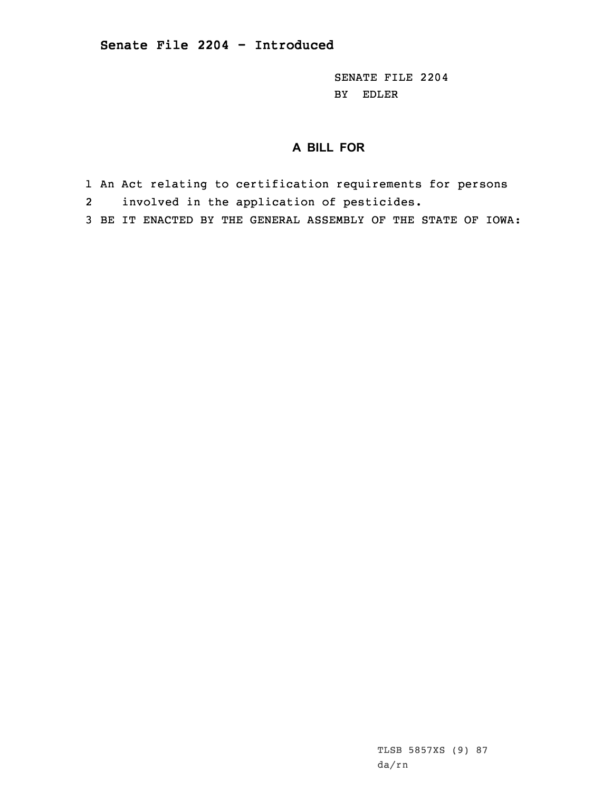SENATE FILE 2204 BY EDLER

## **A BILL FOR**

- 1 An Act relating to certification requirements for persons
- 2involved in the application of pesticides.
- 3 BE IT ENACTED BY THE GENERAL ASSEMBLY OF THE STATE OF IOWA:

TLSB 5857XS (9) 87 da/rn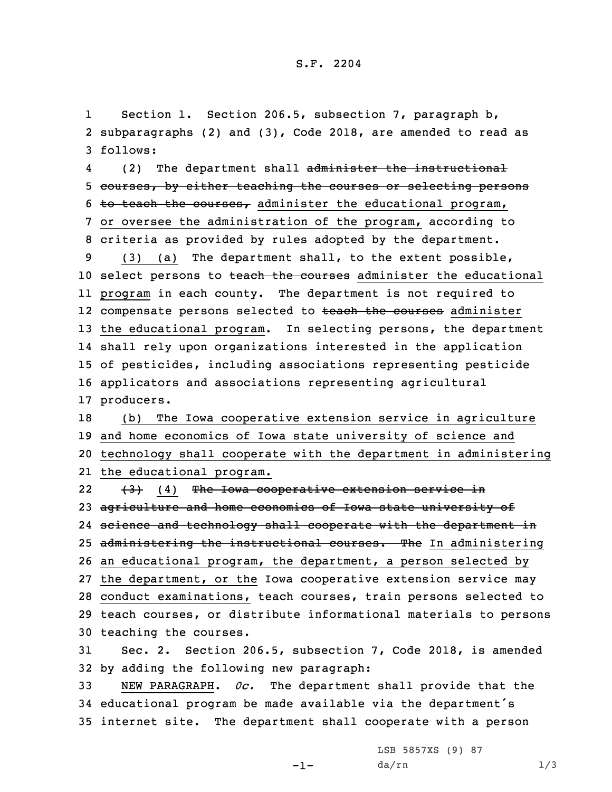1 Section 1. Section 206.5, subsection 7, paragraph b, 2 subparagraphs (2) and (3), Code 2018, are amended to read as 3 follows:

4(2) The department shall administer the instructional 5 courses, by either teaching the courses or selecting persons 6 to teach the courses, administer the educational program, 7 or oversee the administration of the program, according to 8 criteria as provided by rules adopted by the department.

 (3) (a) The department shall, to the extent possible, 10 select persons to teach the courses administer the educational program in each county. The department is not required to 12 compensate persons selected to <del>teach the courses</del> administer the educational program. In selecting persons, the department shall rely upon organizations interested in the application of pesticides, including associations representing pesticide applicators and associations representing agricultural producers.

 (b) The Iowa cooperative extension service in agriculture and home economics of Iowa state university of science and technology shall cooperate with the department in administering the educational program.

22 (3) (4) The Iowa cooperative extension service in 23 agriculture and home economics of Iowa state university of 24 science and technology shall cooperate with the department in 25 administering the instructional courses. The In administering 26 an educational program, the department, <sup>a</sup> person selected by 27 the department, or the Iowa cooperative extension service may 28 conduct examinations, teach courses, train persons selected to 29 teach courses, or distribute informational materials to persons 30 teaching the courses.

31 Sec. 2. Section 206.5, subsection 7, Code 2018, is amended 32 by adding the following new paragraph:

33 NEW PARAGRAPH. *0c.* The department shall provide that the <sup>34</sup> educational program be made available via the department's 35 internet site. The department shall cooperate with <sup>a</sup> person

-1-

LSB 5857XS (9) 87  $da/rn$   $1/3$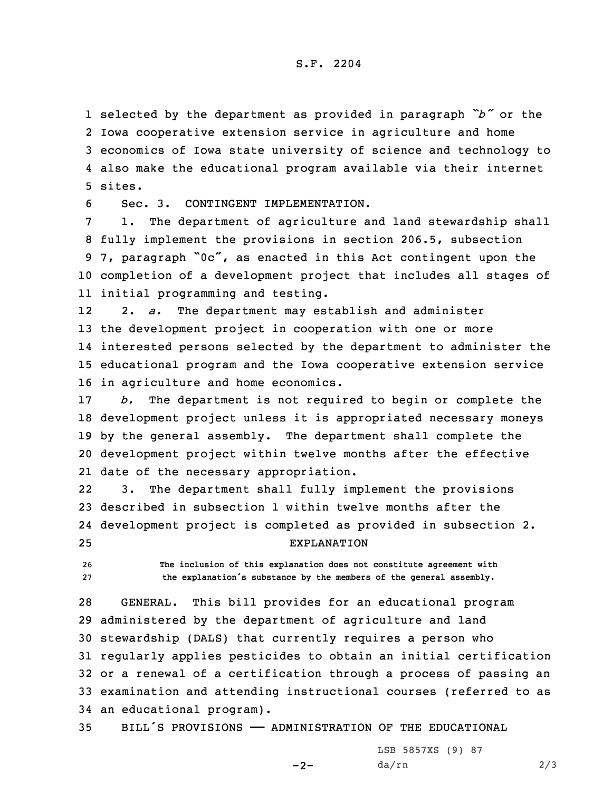selected by the department as provided in paragraph *"b"* or the Iowa cooperative extension service in agriculture and home economics of Iowa state university of science and technology to also make the educational program available via their internet 5 sites.

6 Sec. 3. CONTINGENT IMPLEMENTATION.

 1. The department of agriculture and land stewardship shall fully implement the provisions in section 206.5, subsection 7, paragraph "0c", as enacted in this Act contingent upon the completion of <sup>a</sup> development project that includes all stages of initial programming and testing.

12 2. *a.* The department may establish and administer the development project in cooperation with one or more interested persons selected by the department to administer the educational program and the Iowa cooperative extension service in agriculture and home economics.

 *b.* The department is not required to begin or complete the development project unless it is appropriated necessary moneys by the general assembly. The department shall complete the development project within twelve months after the effective date of the necessary appropriation.

22 3. The department shall fully implement the provisions 23 described in subsection 1 within twelve months after the 24 development project is completed as provided in subsection 2. 25 EXPLANATION

26 **The inclusion of this explanation does not constitute agreement with** <sup>27</sup> **the explanation's substance by the members of the general assembly.**

 GENERAL. This bill provides for an educational program administered by the department of agriculture and land stewardship (DALS) that currently requires <sup>a</sup> person who regularly applies pesticides to obtain an initial certification or <sup>a</sup> renewal of <sup>a</sup> certification through <sup>a</sup> process of passing an examination and attending instructional courses (referred to as an educational program).

35 BILL'S PROVISIONS —— ADMINISTRATION OF THE EDUCATIONAL

 $-2-$ 

LSB 5857XS (9) 87 da/rn 2/3